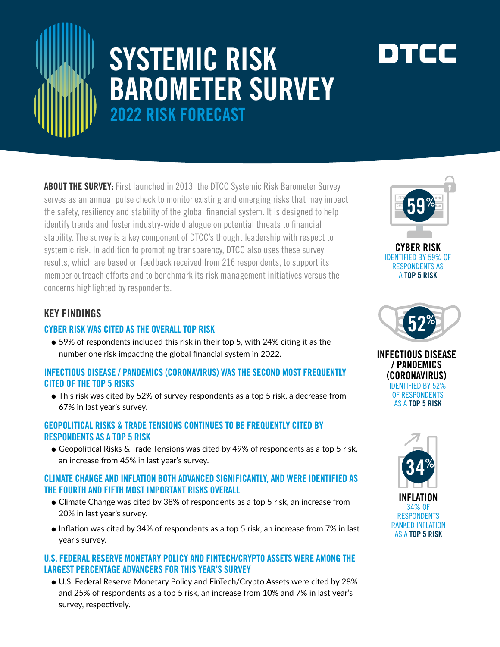

# SYSTEMIC RISK BAROMETER SURVEY 2022 RISK FORECAST

**ABOUT THE SURVEY:** First launched in 2013, the DTCC Systemic Risk Barometer Survey serves as an annual pulse check to monitor existing and emerging risks that may impact the safety, resiliency and stability of the global financial system. It is designed to help identify trends and foster industry-wide dialogue on potential threats to financial stability. The survey is a key component of DTCC's thought leadership with respect to systemic risk. In addition to promoting transparency, DTCC also uses these survey results, which are based on feedback received from 216 respondents, to support its member outreach efforts and to benchmark its risk management initiatives versus the concerns highlighted by respondents.

## KEY FINDINGS

#### CYBER RISK WAS CITED AS THE OVERALL TOP RISK

● 59% of respondents included this risk in their top 5, with 24% citing it as the number one risk impacting the global financial system in 2022.

#### INFECTIOUS DISEASE / PANDEMICS (CORONAVIRUS) WAS THE SECOND MOST FREQUENTLY CITED OF THE TOP 5 RISKS

● This risk was cited by 52% of survey respondents as a top 5 risk, a decrease from 67% in last year's survey.

#### GEOPOLITICAL RISKS & TRADE TENSIONS CONTINUES TO BE FREQUENTLY CITED BY RESPONDENTS AS A TOP 5 RISK

● Geopolitical Risks & Trade Tensions was cited by 49% of respondents as a top 5 risk, an increase from 45% in last year's survey.

#### CLIMATE CHANGE AND INFLATION BOTH ADVANCED SIGNIFICANTLY, AND WERE IDENTIFIED AS THE FOURTH AND FIFTH MOST IMPORTANT RISKS OVERALL

- Climate Change was cited by 38% of respondents as a top 5 risk, an increase from 20% in last year's survey.
- $\bullet$  Inflation was cited by 34% of respondents as a top 5 risk, an increase from 7% in last year's survey.

#### U.S. FEDERAL RESERVE MONETARY POLICY AND FINTECH/CRYPTO ASSETS WERE AMONG THE LARGEST PERCENTAGE ADVANCERS FOR THIS YEAR'S SURVEY

● U.S. Federal Reserve Monetary Policy and FinTech/Crypto Assets were cited by 28% and 25% of respondents as a top 5 risk, an increase from 10% and 7% in last year's survey, respectively.



CYBER RISK IDENTIFIED BY 59% OF RESPONDENTS AS A TOP 5 RISK







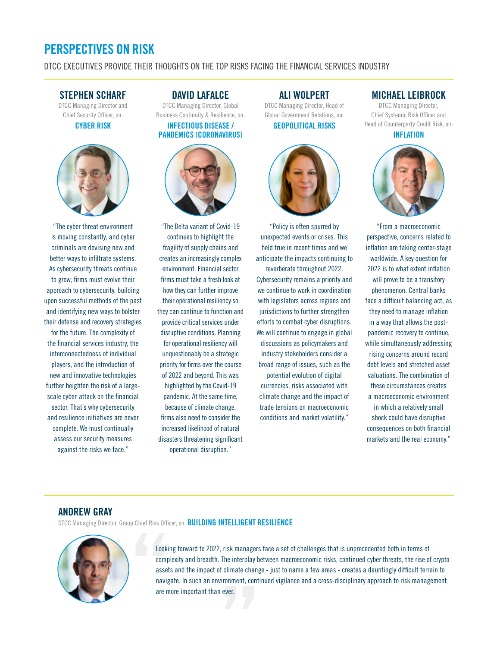## PERSPECTIVES ON RISK

DTCC EXECUTIVES PROVIDE THEIR THOUGHTS ON THE TOP RISKS FACING THE FINANCIAL SERVICES INDUSTRY

#### STEPHEN SCHARF

DTCC Managing Director and Chief Security Officer, on: CYBER RISK



"The cyber threat environment is moving constantly, and cyber criminals are devising new and better ways to infiltrate systems. As cybersecurity threats continue to grow, firms must evolve their approach to cybersecurity, building upon successful methods of the past and identifying new ways to bolster their defense and recovery strategies for the future. The complexity of the financial services industry, the interconnectedness of individual players, and the introduction of new and innovative technologies further heighten the risk of a largescale cyber-attack on the financial sector. That's why cybersecurity and resilience initiatives are never complete. We must continually assess our security measures against the risks we face."

#### DAVID LAFALCE

DTCC Managing Director, Global Business Continuity & Resilience, on: INFECTIOUS DISEASE / PANDEMICS (CORONAVIRUS)



"The Delta variant of Covid-19 continues to highlight the fragility of supply chains and creates an increasingly complex environment. Financial sector firms must take a fresh look at how they can further improve their operational resiliency so they can continue to function and provide critical services under disruptive conditions. Planning for operational resiliency will unquestionably be a strategic priority for firms over the course of 2022 and beyond. This was highlighted by the Covid-19 pandemic. At the same time, because of climate change, firms also need to consider the increased likelihood of natural disasters threatening significant operational disruption."

## ALI WOLPERT

DTCC Managing Director, Head of Global Government Relations, on: GEOPOLITICAL RISKS



"Policy is often spurred by unexpected events or crises. This held true in recent times and we anticipate the impacts continuing to

reverberate throughout 2022. Cybersecurity remains a priority and we continue to work in coordination with legislators across regions and jurisdictions to further strengthen efforts to combat cyber disruptions. We will continue to engage in global discussions as policymakers and industry stakeholders consider a broad range of issues, such as the potential evolution of digital

currencies, risks associated with climate change and the impact of trade tensions on macroeconomic conditions and market volatility."

#### MICHAEL LEIBROCK

DTCC Managing Director, Chief Systemic Risk Officer and Head of Counterparty Credit Risk, on:

INFLATION



"From a macroeconomic perspective, concerns related to inflation are taking center-stage worldwide. A key question for 2022 is to what extent inflation will prove to be a transitory phenomenon. Central banks face a difficult balancing act, as they need to manage inflation in a way that allows the postpandemic recovery to continue, while simultaneously addressing rising concerns around record debt levels and stretched asset valuations. The combination of these circumstances creates a macroeconomic environment in which a relatively small shock could have disruptive consequences on both financial markets and the real economy."

#### ANDREW GRAY

DTCC Managing Director, Group Chief Risk Officer, on: **BUILDING INTELLIGENT RESILIENCE** 



Looking forward to 2022, risk managers face a set of challenges that is unprecedented both in terms of complexity and breadth. The interplay between macroeconomic risks, continued cyber threats, the rise of crypto assets and the impact of climate change - just to name a few areas - creates a dauntingly difficult terrain to navigate. In such an environment, continued vigilance and a cross-disciplinary approach to risk management are more important than ever.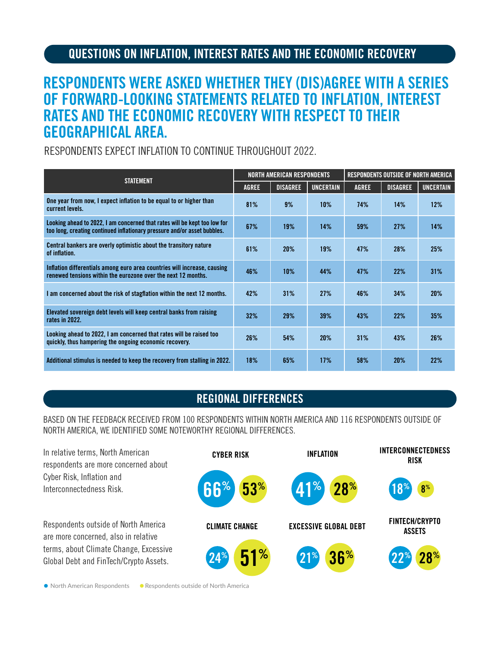## QUESTIONS ON INFLATION, INTEREST RATES AND THE ECONOMIC RECOVERY

# RESPONDENTS WERE ASKED WHETHER THEY (DIS)AGREE WITH A SERIES OF FORWARD-LOOKING STATEMENTS RELATED TO INFLATION, INTEREST RATES AND THE ECONOMIC RECOVERY WITH RESPECT TO THEIR GEOGRAPHICAL AREA.

RESPONDENTS EXPECT INFLATION TO CONTINUE THROUGHOUT 2022.

| <b>STATEMENT</b>                                                                                                                                      | NORTH AMERICAN RESPONDENTS |                 |                  | RESPONDENTS OUTSIDE OF NORTH AMERICA |                 |                  |
|-------------------------------------------------------------------------------------------------------------------------------------------------------|----------------------------|-----------------|------------------|--------------------------------------|-----------------|------------------|
|                                                                                                                                                       | <b>AGREE</b>               | <b>DISAGREE</b> | <b>UNCERTAIN</b> | <b>AGREE</b>                         | <b>DISAGREE</b> | <b>UNCERTAIN</b> |
| One year from now, I expect inflation to be equal to or higher than<br>current levels.                                                                | 81%                        | 9%              | $10\%$           | 74%                                  | 14%             | 12%              |
| Looking ahead to 2022, I am concerned that rates will be kept too low for<br>too long, creating continued inflationary pressure and/or asset bubbles. | 67%                        | 19%             | 14%              | 59%                                  | 27%             | 14%              |
| Central bankers are overly optimistic about the transitory nature<br>of inflation.                                                                    | 61%                        | 20%             | 19%              | 47%                                  | 28%             | 25%              |
| Inflation differentials among euro area countries will increase, causing<br>renewed tensions within the eurozone over the next 12 months.             | 46%                        | 10%             | 44%              | 47%                                  | 22%             | 31%              |
| I am concerned about the risk of stagflation within the next 12 months.                                                                               | 42%                        | 31%             | 27%              | 46%                                  | 34%             | 20%              |
| Elevated sovereign debt levels will keep central banks from raising<br>rates in 2022.                                                                 | 32%                        | 29%             | 39%              | 43%                                  | 22%             | 35%              |
| Looking ahead to 2022, I am concerned that rates will be raised too<br>quickly, thus hampering the ongoing economic recovery.                         | 26%                        | 54%             | 20%              | 31%                                  | 43%             | 26%              |
| Additional stimulus is needed to keep the recovery from stalling in 2022.                                                                             | 18%                        | 65%             | 17%              | 58%                                  | 20%             | 22%              |

## REGIONAL DIFFERENCES

BASED ON THE FEEDBACK RECEIVED FROM 100 RESPONDENTS WITHIN NORTH AMERICA AND 116 RESPONDENTS OUTSIDE OF NORTH AMERICA, WE IDENTIFIED SOME NOTEWORTHY REGIONAL DIFFERENCES.



● North American Respondents ● Respondents outside of North America